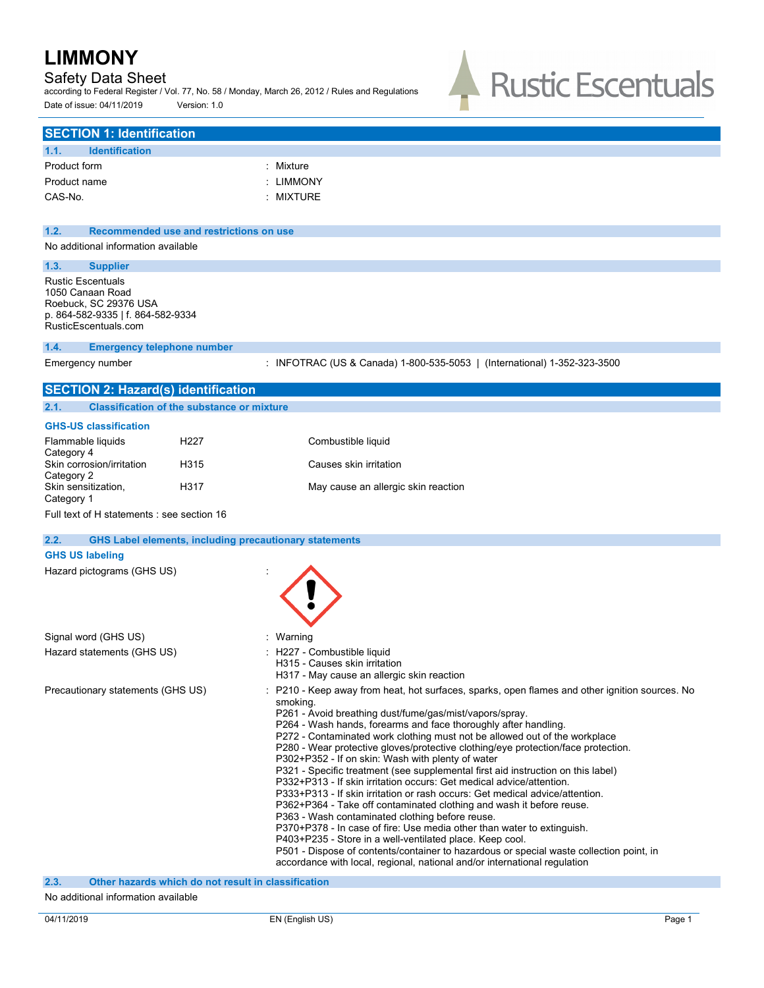# Safety Data Sheet

according to Federal Register / Vol. 77, No. 58 / Monday, March 26, 2012 / Rules and Regulations Date of issue: 04/11/2019 Version: 1.0



|              | <b>SECTION 1: Identification</b>    |                                         |           |
|--------------|-------------------------------------|-----------------------------------------|-----------|
| 1.1.         | <b>Identification</b>               |                                         |           |
| Product form |                                     |                                         | : Mixture |
| Product name |                                     |                                         | : LIMMONY |
| CAS-No.      |                                     |                                         | : MIXTURE |
|              |                                     |                                         |           |
| 1.2.         |                                     | Recommended use and restrictions on use |           |
|              | No additional information available |                                         |           |

## **1.3. Supplier**

Rustic Escentuals 1050 Canaan Road Roebuck, SC 29376 USA p. 864-582-9335 | f. 864-582-9334 RusticEscentuals.com

#### **1.4. Emergency telephone number**

Emergency number : INFOTRAC (US & Canada) 1-800-535-5053 | (International) 1-352-323-3500

| <b>SECTION 2: Hazard(s) identification</b>            |                                                               |                                                                                                                                                                                                                                                                                                                                                                                                                                                                                                                                                                                                                                                                                                                                                                                                                                                                                                                                                                                                                                                                                                                                                     |
|-------------------------------------------------------|---------------------------------------------------------------|-----------------------------------------------------------------------------------------------------------------------------------------------------------------------------------------------------------------------------------------------------------------------------------------------------------------------------------------------------------------------------------------------------------------------------------------------------------------------------------------------------------------------------------------------------------------------------------------------------------------------------------------------------------------------------------------------------------------------------------------------------------------------------------------------------------------------------------------------------------------------------------------------------------------------------------------------------------------------------------------------------------------------------------------------------------------------------------------------------------------------------------------------------|
| 2.1.                                                  | <b>Classification of the substance or mixture</b>             |                                                                                                                                                                                                                                                                                                                                                                                                                                                                                                                                                                                                                                                                                                                                                                                                                                                                                                                                                                                                                                                                                                                                                     |
| <b>GHS-US classification</b>                          |                                                               |                                                                                                                                                                                                                                                                                                                                                                                                                                                                                                                                                                                                                                                                                                                                                                                                                                                                                                                                                                                                                                                                                                                                                     |
| Flammable liquids                                     | H <sub>227</sub>                                              | Combustible liquid                                                                                                                                                                                                                                                                                                                                                                                                                                                                                                                                                                                                                                                                                                                                                                                                                                                                                                                                                                                                                                                                                                                                  |
| Category 4<br>Skin corrosion/irritation<br>Category 2 | H315                                                          | Causes skin irritation                                                                                                                                                                                                                                                                                                                                                                                                                                                                                                                                                                                                                                                                                                                                                                                                                                                                                                                                                                                                                                                                                                                              |
| Skin sensitization,<br>Category 1                     | H317                                                          | May cause an allergic skin reaction                                                                                                                                                                                                                                                                                                                                                                                                                                                                                                                                                                                                                                                                                                                                                                                                                                                                                                                                                                                                                                                                                                                 |
| Full text of H statements : see section 16            |                                                               |                                                                                                                                                                                                                                                                                                                                                                                                                                                                                                                                                                                                                                                                                                                                                                                                                                                                                                                                                                                                                                                                                                                                                     |
| 2.2.                                                  | <b>GHS Label elements, including precautionary statements</b> |                                                                                                                                                                                                                                                                                                                                                                                                                                                                                                                                                                                                                                                                                                                                                                                                                                                                                                                                                                                                                                                                                                                                                     |
| <b>GHS US labeling</b>                                |                                                               |                                                                                                                                                                                                                                                                                                                                                                                                                                                                                                                                                                                                                                                                                                                                                                                                                                                                                                                                                                                                                                                                                                                                                     |
| Hazard pictograms (GHS US)                            |                                                               |                                                                                                                                                                                                                                                                                                                                                                                                                                                                                                                                                                                                                                                                                                                                                                                                                                                                                                                                                                                                                                                                                                                                                     |
| Signal word (GHS US)                                  |                                                               | : Warning                                                                                                                                                                                                                                                                                                                                                                                                                                                                                                                                                                                                                                                                                                                                                                                                                                                                                                                                                                                                                                                                                                                                           |
| Hazard statements (GHS US)                            |                                                               | H227 - Combustible liquid<br>H315 - Causes skin irritation<br>H317 - May cause an allergic skin reaction                                                                                                                                                                                                                                                                                                                                                                                                                                                                                                                                                                                                                                                                                                                                                                                                                                                                                                                                                                                                                                            |
| Precautionary statements (GHS US)                     |                                                               | P210 - Keep away from heat, hot surfaces, sparks, open flames and other ignition sources. No<br>smoking.<br>P261 - Avoid breathing dust/fume/gas/mist/vapors/spray.<br>P264 - Wash hands, forearms and face thoroughly after handling.<br>P272 - Contaminated work clothing must not be allowed out of the workplace<br>P280 - Wear protective gloves/protective clothing/eye protection/face protection.<br>P302+P352 - If on skin: Wash with plenty of water<br>P321 - Specific treatment (see supplemental first aid instruction on this label)<br>P332+P313 - If skin irritation occurs: Get medical advice/attention.<br>P333+P313 - If skin irritation or rash occurs: Get medical advice/attention.<br>P362+P364 - Take off contaminated clothing and wash it before reuse.<br>P363 - Wash contaminated clothing before reuse.<br>P370+P378 - In case of fire: Use media other than water to extinguish.<br>P403+P235 - Store in a well-ventilated place. Keep cool.<br>P501 - Dispose of contents/container to hazardous or special waste collection point, in<br>accordance with local, regional, national and/or international regulation |

**2.3. Other hazards which do not result in classification**

#### No additional information available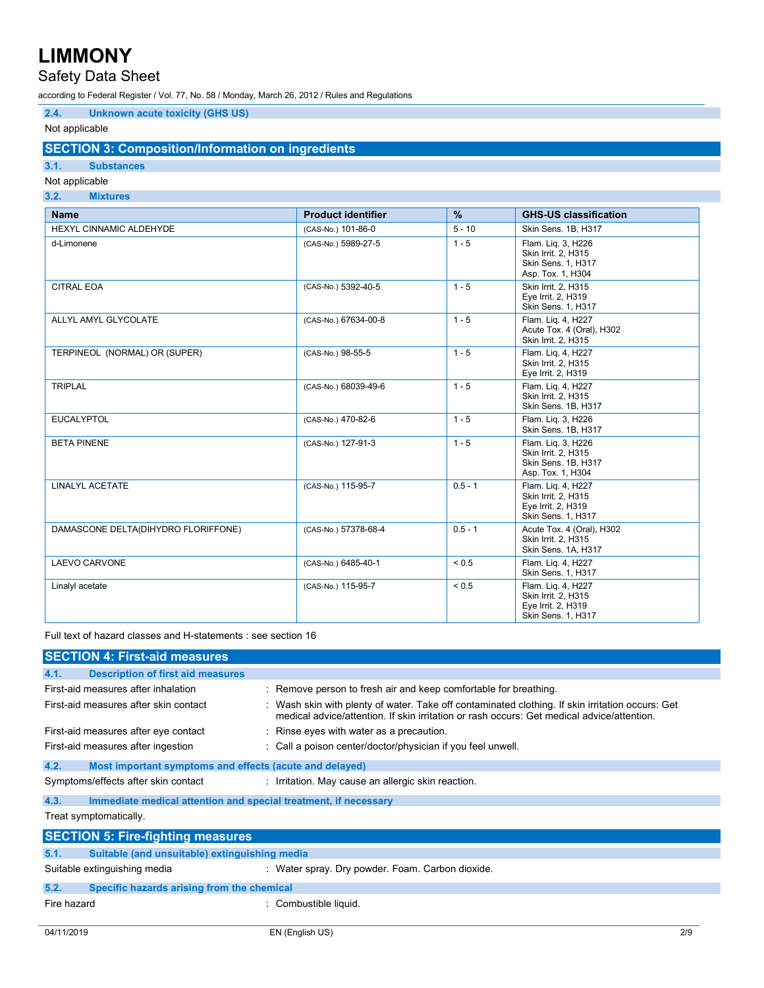# Safety Data Sheet

according to Federal Register / Vol. 77, No. 58 / Monday, March 26, 2012 / Rules and Regulations

# **2.4. Unknown acute toxicity (GHS US)**

# Not applicable

# **SECTION 3: Composition/Information on ingredients**

# **3.1. Substances**

## Not applicable **3.2. Mixtures Name Product identifier % GHS-US classification** HEXYL CINNAMIC ALDEHYDE (CAS-No.) 101-86-0 5 - 10 Skin Sens. 1B, H317 d-Limonene (CAS-No.) 5989-27-5 1 - 5 Flam. Liq. 3, H226<br>Skin Irrit. 2, H315 Skin Sens. 1, H317 Asp. Tox. 1, H304 CITRAL EOA (CAS-No.) 5392-40-5 1 - 5 Skin Irrit. 2, H315 Eye Irrit. 2, H319 Skin Sens. 1, H317 ALLYL AMYL GLYCOLATE (CAS-No.) 67634-00-8 1 - 5 Flam. Liq. 4, H227 Acute Tox. 4 (Oral), H302 Skin Irrit. 2, H315 TERPINEOL (NORMAL) OR (SUPER) (CAS-No.) 98-55-5 1 - 5 Skin Irrit. 2, H315 Eye Irrit. 2, H319 TRIPLAL (CAS-No.) 68039-49-6 1 - 5 Flam. Liq. 4, H227 Skin Irrit. 2, H315

|                                     |                      |            | Skin Sens. 1B, H317                                                                   |
|-------------------------------------|----------------------|------------|---------------------------------------------------------------------------------------|
| <b>EUCALYPTOL</b>                   | (CAS-No.) 470-82-6   | $1 - 5$    | Flam. Lig. 3, H226<br>Skin Sens. 1B, H317                                             |
| <b>BETA PINENE</b>                  | (CAS-No.) 127-91-3   | $1 - 5$    | Flam. Lig. 3, H226<br>Skin Irrit. 2, H315<br>Skin Sens. 1B, H317<br>Asp. Tox. 1, H304 |
| LINALYL ACETATE                     | (CAS-No.) 115-95-7   | $0.5 - 1$  | Flam. Lig. 4, H227<br>Skin Irrit. 2, H315<br>Eye Irrit. 2, H319<br>Skin Sens. 1, H317 |
| DAMASCONE DELTA(DIHYDRO FLORIFFONE) | (CAS-No.) 57378-68-4 | $0.5 - 1$  | Acute Tox. 4 (Oral), H302<br>Skin Irrit. 2, H315<br>Skin Sens. 1A, H317               |
| LAEVO CARVONE                       | (CAS-No.) 6485-40-1  | ${}_{0.5}$ | Flam. Lig. 4, H227<br>Skin Sens. 1, H317                                              |
| Linalyl acetate                     | (CAS-No.) 115-95-7   | ${}_{0.5}$ | Flam. Lig. 4, H227<br>Skin Irrit. 2, H315<br>Eye Irrit. 2, H319<br>Skin Sens. 1, H317 |

Full text of hazard classes and H-statements : see section 16

|             | <b>SECTION 4: First-aid measures</b>                            |                                                                                                                                                                                                |  |  |
|-------------|-----------------------------------------------------------------|------------------------------------------------------------------------------------------------------------------------------------------------------------------------------------------------|--|--|
| 4.1.        | <b>Description of first aid measures</b>                        |                                                                                                                                                                                                |  |  |
|             | First-aid measures after inhalation                             | : Remove person to fresh air and keep comfortable for breathing.                                                                                                                               |  |  |
|             | First-aid measures after skin contact                           | : Wash skin with plenty of water. Take off contaminated clothing. If skin irritation occurs: Get<br>medical advice/attention. If skin irritation or rash occurs: Get medical advice/attention. |  |  |
|             | First-aid measures after eye contact                            | : Rinse eyes with water as a precaution.                                                                                                                                                       |  |  |
|             | First-aid measures after ingestion                              | : Call a poison center/doctor/physician if you feel unwell.                                                                                                                                    |  |  |
| 4.2.        | Most important symptoms and effects (acute and delayed)         |                                                                                                                                                                                                |  |  |
|             | Symptoms/effects after skin contact                             | : Irritation. May cause an allergic skin reaction.                                                                                                                                             |  |  |
| 4.3.        | Immediate medical attention and special treatment, if necessary |                                                                                                                                                                                                |  |  |
|             | Treat symptomatically.                                          |                                                                                                                                                                                                |  |  |
|             | <b>SECTION 5: Fire-fighting measures</b>                        |                                                                                                                                                                                                |  |  |
| 5.1.        | Suitable (and unsuitable) extinguishing media                   |                                                                                                                                                                                                |  |  |
|             | Suitable extinguishing media                                    | : Water spray. Dry powder. Foam. Carbon dioxide.                                                                                                                                               |  |  |
| 5.2.        | Specific hazards arising from the chemical                      |                                                                                                                                                                                                |  |  |
| Fire hazard |                                                                 | : Combustible liquid.                                                                                                                                                                          |  |  |
| 04/11/2019  |                                                                 | 2/9<br>EN (English US)                                                                                                                                                                         |  |  |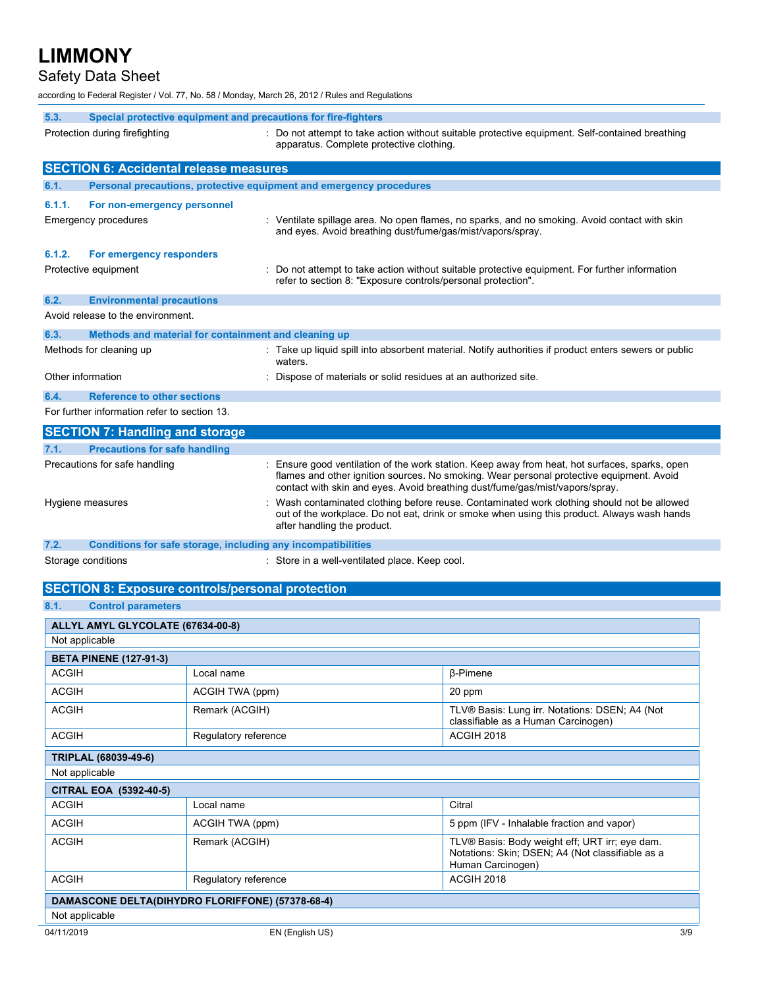# Safety Data Sheet

according to Federal Register / Vol. 77, No. 58 / Monday, March 26, 2012 / Rules and Regulations

| 5.3.<br>Special protective equipment and precautions for fire-fighters<br>Protection during firefighting<br>: Do not attempt to take action without suitable protective equipment. Self-contained breathing<br>apparatus. Complete protective clothing. |                                                                                                                                                                                                                                             |                                                                                                                                                             |                                                                                                                                                                                                                                                                            |  |  |  |
|---------------------------------------------------------------------------------------------------------------------------------------------------------------------------------------------------------------------------------------------------------|---------------------------------------------------------------------------------------------------------------------------------------------------------------------------------------------------------------------------------------------|-------------------------------------------------------------------------------------------------------------------------------------------------------------|----------------------------------------------------------------------------------------------------------------------------------------------------------------------------------------------------------------------------------------------------------------------------|--|--|--|
| <b>SECTION 6: Accidental release measures</b>                                                                                                                                                                                                           |                                                                                                                                                                                                                                             |                                                                                                                                                             |                                                                                                                                                                                                                                                                            |  |  |  |
| 6.1.                                                                                                                                                                                                                                                    | Personal precautions, protective equipment and emergency procedures                                                                                                                                                                         |                                                                                                                                                             |                                                                                                                                                                                                                                                                            |  |  |  |
| 6.1.1.<br>Emergency procedures                                                                                                                                                                                                                          | For non-emergency personnel                                                                                                                                                                                                                 | : Ventilate spillage area. No open flames, no sparks, and no smoking. Avoid contact with skin<br>and eyes. Avoid breathing dust/fume/gas/mist/vapors/spray. |                                                                                                                                                                                                                                                                            |  |  |  |
| 6.1.2.                                                                                                                                                                                                                                                  | For emergency responders<br>Protective equipment<br>Do not attempt to take action without suitable protective equipment. For further information<br>refer to section 8: "Exposure controls/personal protection".                            |                                                                                                                                                             |                                                                                                                                                                                                                                                                            |  |  |  |
| 6.2.                                                                                                                                                                                                                                                    | <b>Environmental precautions</b>                                                                                                                                                                                                            |                                                                                                                                                             |                                                                                                                                                                                                                                                                            |  |  |  |
|                                                                                                                                                                                                                                                         | Avoid release to the environment.                                                                                                                                                                                                           |                                                                                                                                                             |                                                                                                                                                                                                                                                                            |  |  |  |
| 6.3.<br>Methods for cleaning up                                                                                                                                                                                                                         | Methods and material for containment and cleaning up                                                                                                                                                                                        | waters.                                                                                                                                                     | Take up liquid spill into absorbent material. Notify authorities if product enters sewers or public                                                                                                                                                                        |  |  |  |
| Other information                                                                                                                                                                                                                                       |                                                                                                                                                                                                                                             | Dispose of materials or solid residues at an authorized site.                                                                                               |                                                                                                                                                                                                                                                                            |  |  |  |
| 6.4.                                                                                                                                                                                                                                                    | <b>Reference to other sections</b><br>For further information refer to section 13.                                                                                                                                                          |                                                                                                                                                             |                                                                                                                                                                                                                                                                            |  |  |  |
|                                                                                                                                                                                                                                                         | <b>SECTION 7: Handling and storage</b>                                                                                                                                                                                                      |                                                                                                                                                             |                                                                                                                                                                                                                                                                            |  |  |  |
| 7.1.                                                                                                                                                                                                                                                    | <b>Precautions for safe handling</b>                                                                                                                                                                                                        |                                                                                                                                                             |                                                                                                                                                                                                                                                                            |  |  |  |
| Precautions for safe handling                                                                                                                                                                                                                           |                                                                                                                                                                                                                                             |                                                                                                                                                             | : Ensure good ventilation of the work station. Keep away from heat, hot surfaces, sparks, open<br>flames and other ignition sources. No smoking. Wear personal protective equipment. Avoid<br>contact with skin and eyes. Avoid breathing dust/fume/gas/mist/vapors/spray. |  |  |  |
|                                                                                                                                                                                                                                                         | Wash contaminated clothing before reuse. Contaminated work clothing should not be allowed<br>Hygiene measures<br>out of the workplace. Do not eat, drink or smoke when using this product. Always wash hands<br>after handling the product. |                                                                                                                                                             |                                                                                                                                                                                                                                                                            |  |  |  |
| 7.2.                                                                                                                                                                                                                                                    | Conditions for safe storage, including any incompatibilities                                                                                                                                                                                |                                                                                                                                                             |                                                                                                                                                                                                                                                                            |  |  |  |
| Storage conditions                                                                                                                                                                                                                                      |                                                                                                                                                                                                                                             | : Store in a well-ventilated place. Keep cool.                                                                                                              |                                                                                                                                                                                                                                                                            |  |  |  |
|                                                                                                                                                                                                                                                         | <b>SECTION 8: Exposure controls/personal protection</b>                                                                                                                                                                                     |                                                                                                                                                             |                                                                                                                                                                                                                                                                            |  |  |  |
| 8.1.                                                                                                                                                                                                                                                    | <b>Control parameters</b>                                                                                                                                                                                                                   |                                                                                                                                                             |                                                                                                                                                                                                                                                                            |  |  |  |
|                                                                                                                                                                                                                                                         | ALLYL AMYL GLYCOLATE (67634-00-8)                                                                                                                                                                                                           |                                                                                                                                                             |                                                                                                                                                                                                                                                                            |  |  |  |
| Not applicable<br><b>BETA PINENE (127-91-3)</b>                                                                                                                                                                                                         |                                                                                                                                                                                                                                             |                                                                                                                                                             |                                                                                                                                                                                                                                                                            |  |  |  |
| <b>ACGIH</b>                                                                                                                                                                                                                                            | Local name                                                                                                                                                                                                                                  |                                                                                                                                                             | $\beta$ -Pimene                                                                                                                                                                                                                                                            |  |  |  |
| <b>ACGIH</b>                                                                                                                                                                                                                                            | ACGIH TWA (ppm)                                                                                                                                                                                                                             |                                                                                                                                                             | 20 ppm                                                                                                                                                                                                                                                                     |  |  |  |
| <b>ACGIH</b>                                                                                                                                                                                                                                            | Remark (ACGIH)<br>TLV® Basis: Lung irr. Notations: DSEN; A4 (Not<br>classifiable as a Human Carcinogen)                                                                                                                                     |                                                                                                                                                             |                                                                                                                                                                                                                                                                            |  |  |  |
| ACGIH                                                                                                                                                                                                                                                   | Regulatory reference                                                                                                                                                                                                                        |                                                                                                                                                             | <b>ACGIH 2018</b>                                                                                                                                                                                                                                                          |  |  |  |
| TRIPLAL (68039-49-6)                                                                                                                                                                                                                                    |                                                                                                                                                                                                                                             |                                                                                                                                                             |                                                                                                                                                                                                                                                                            |  |  |  |
| Not applicable                                                                                                                                                                                                                                          |                                                                                                                                                                                                                                             |                                                                                                                                                             |                                                                                                                                                                                                                                                                            |  |  |  |
| CITRAL EOA (5392-40-5)                                                                                                                                                                                                                                  |                                                                                                                                                                                                                                             |                                                                                                                                                             |                                                                                                                                                                                                                                                                            |  |  |  |
| ACGIH                                                                                                                                                                                                                                                   | Local name                                                                                                                                                                                                                                  |                                                                                                                                                             | Citral                                                                                                                                                                                                                                                                     |  |  |  |
| <b>ACGIH</b>                                                                                                                                                                                                                                            | ACGIH TWA (ppm)                                                                                                                                                                                                                             |                                                                                                                                                             | 5 ppm (IFV - Inhalable fraction and vapor)                                                                                                                                                                                                                                 |  |  |  |
| <b>ACGIH</b>                                                                                                                                                                                                                                            | Remark (ACGIH)                                                                                                                                                                                                                              |                                                                                                                                                             | TLV® Basis: Body weight eff; URT irr; eye dam.<br>Notations: Skin; DSEN; A4 (Not classifiable as a<br>Human Carcinogen)                                                                                                                                                    |  |  |  |
| ACGIH                                                                                                                                                                                                                                                   | Regulatory reference                                                                                                                                                                                                                        |                                                                                                                                                             | ACGIH 2018                                                                                                                                                                                                                                                                 |  |  |  |
| DAMASCONE DELTA(DIHYDRO FLORIFFONE) (57378-68-4)                                                                                                                                                                                                        |                                                                                                                                                                                                                                             |                                                                                                                                                             |                                                                                                                                                                                                                                                                            |  |  |  |
| Not applicable                                                                                                                                                                                                                                          |                                                                                                                                                                                                                                             |                                                                                                                                                             |                                                                                                                                                                                                                                                                            |  |  |  |
| 04/11/2019<br>EN (English US)<br>3/9                                                                                                                                                                                                                    |                                                                                                                                                                                                                                             |                                                                                                                                                             |                                                                                                                                                                                                                                                                            |  |  |  |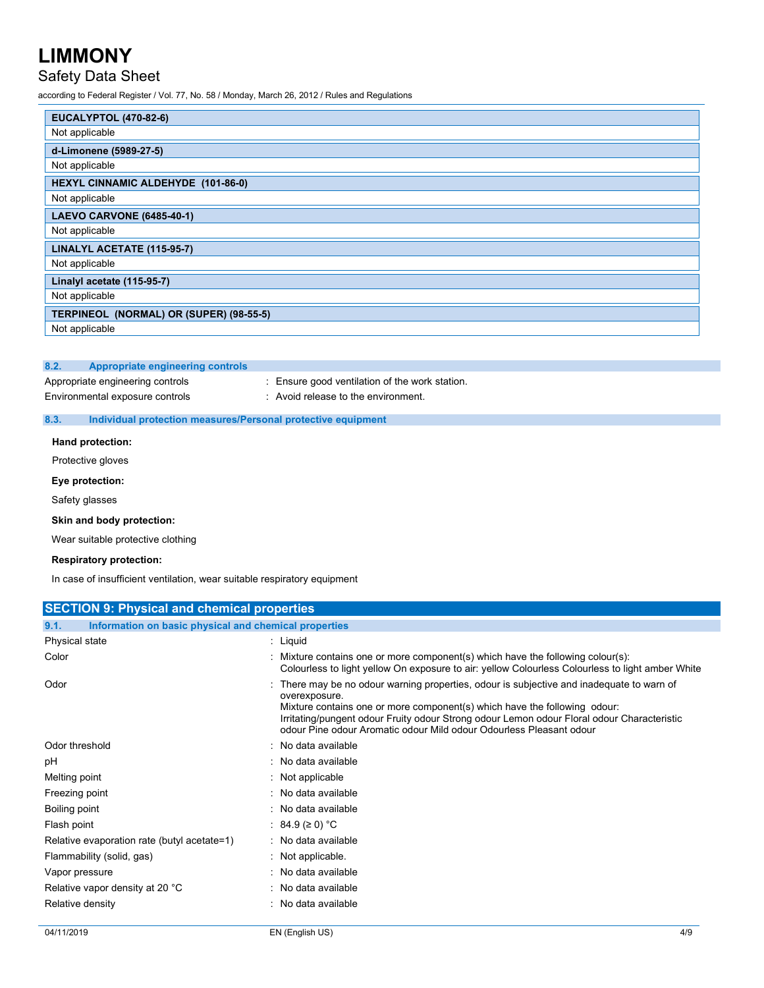# Safety Data Sheet

according to Federal Register / Vol. 77, No. 58 / Monday, March 26, 2012 / Rules and Regulations

| <b>EUCALYPTOL (470-82-6)</b>              |  |  |
|-------------------------------------------|--|--|
| Not applicable                            |  |  |
| d-Limonene (5989-27-5)                    |  |  |
| Not applicable                            |  |  |
| <b>HEXYL CINNAMIC ALDEHYDE (101-86-0)</b> |  |  |
| Not applicable                            |  |  |
| <b>LAEVO CARVONE (6485-40-1)</b>          |  |  |
| Not applicable                            |  |  |
| LINALYL ACETATE (115-95-7)                |  |  |
| Not applicable                            |  |  |
| Linalyl acetate (115-95-7)                |  |  |
| Not applicable                            |  |  |
| TERPINEOL (NORMAL) OR (SUPER) (98-55-5)   |  |  |
| Not applicable                            |  |  |

#### **8.2. Appropriate engineering controls**

Appropriate engineering controls : Ensure good ventilation of the work station. Environmental exposure controls : Avoid release to the environment.

### **8.3. Individual protection measures/Personal protective equipment**

**Hand protection:**

Protective gloves

## **Eye protection:**

Safety glasses

#### **Skin and body protection:**

Wear suitable protective clothing

#### **Respiratory protection:**

In case of insufficient ventilation, wear suitable respiratory equipment

| <b>SECTION 9: Physical and chemical properties</b>            |                                                                                                                                                                                                                                                                                                                                                            |  |  |  |  |
|---------------------------------------------------------------|------------------------------------------------------------------------------------------------------------------------------------------------------------------------------------------------------------------------------------------------------------------------------------------------------------------------------------------------------------|--|--|--|--|
| 9.1.<br>Information on basic physical and chemical properties |                                                                                                                                                                                                                                                                                                                                                            |  |  |  |  |
| Physical state                                                | : Liquid                                                                                                                                                                                                                                                                                                                                                   |  |  |  |  |
| Color                                                         | : Mixture contains one or more component(s) which have the following colour(s):<br>Colourless to light yellow On exposure to air: yellow Colourless Colourless to light amber White                                                                                                                                                                        |  |  |  |  |
| Odor                                                          | There may be no odour warning properties, odour is subjective and inadequate to warn of<br>overexposure.<br>Mixture contains one or more component(s) which have the following odour:<br>Irritating/pungent odour Fruity odour Strong odour Lemon odour Floral odour Characteristic<br>odour Pine odour Aromatic odour Mild odour Odourless Pleasant odour |  |  |  |  |
| Odor threshold                                                | : No data available                                                                                                                                                                                                                                                                                                                                        |  |  |  |  |
| рH                                                            | : No data available                                                                                                                                                                                                                                                                                                                                        |  |  |  |  |
| Melting point                                                 | : Not applicable                                                                                                                                                                                                                                                                                                                                           |  |  |  |  |
| Freezing point                                                | : No data available                                                                                                                                                                                                                                                                                                                                        |  |  |  |  |
| Boiling point                                                 | : No data available                                                                                                                                                                                                                                                                                                                                        |  |  |  |  |
| Flash point                                                   | : 84.9 ( $\geq$ 0) °C                                                                                                                                                                                                                                                                                                                                      |  |  |  |  |
| Relative evaporation rate (butyl acetate=1)                   | : No data available                                                                                                                                                                                                                                                                                                                                        |  |  |  |  |
| Flammability (solid, gas)                                     | $:$ Not applicable.                                                                                                                                                                                                                                                                                                                                        |  |  |  |  |
| Vapor pressure                                                | : No data available                                                                                                                                                                                                                                                                                                                                        |  |  |  |  |
| Relative vapor density at 20 °C                               | : No data available                                                                                                                                                                                                                                                                                                                                        |  |  |  |  |
| Relative density                                              | : No data available                                                                                                                                                                                                                                                                                                                                        |  |  |  |  |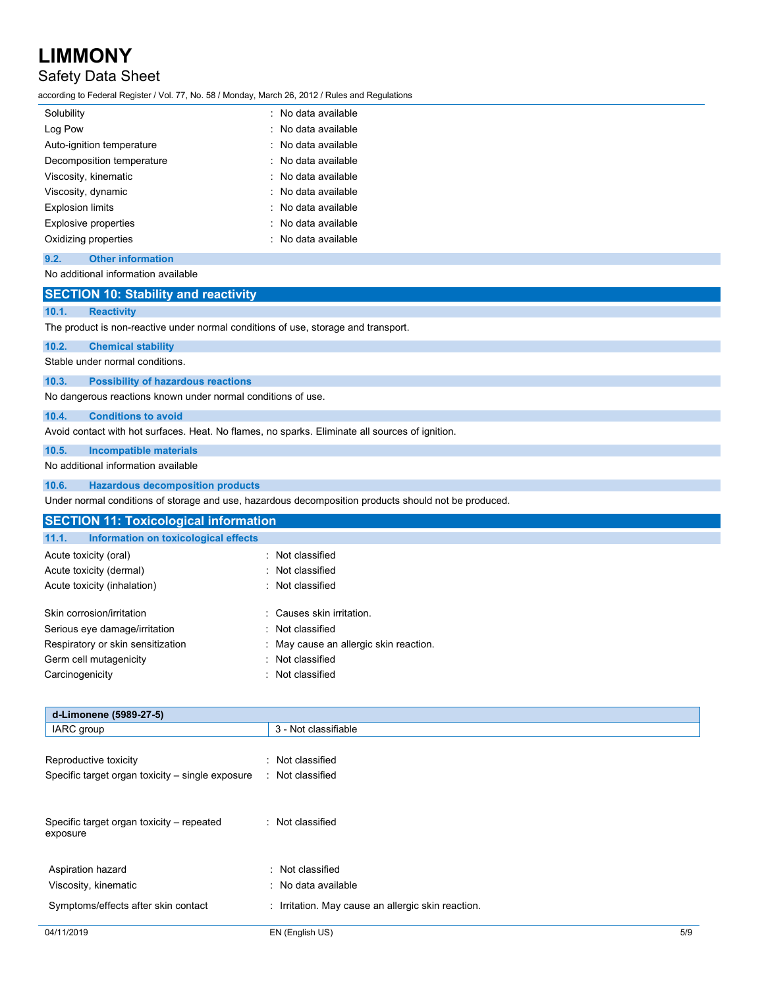# Safety Data Sheet

according to Federal Register / Vol. 77, No. 58 / Monday, March 26, 2012 / Rules and Regulations

| Solubility                | : No data available |
|---------------------------|---------------------|
| Log Pow                   | : No data available |
| Auto-ignition temperature | : No data available |
| Decomposition temperature | : No data available |
| Viscosity, kinematic      | No data available   |
| Viscosity, dynamic        | : No data available |
| <b>Explosion limits</b>   | : No data available |
| Explosive properties      | No data available   |
| Oxidizing properties      | No data available   |
|                           |                     |

## **9.2. Other information**

No additional information available

# **SECTION 10: Stability and reactivity**

### **10.1. Reactivity**

The product is non-reactive under normal conditions of use, storage and transport.

## **10.2. Chemical stability**

Stable under normal conditions.

### **10.3. Possibility of hazardous reactions**

No dangerous reactions known under normal conditions of use.

### **10.4. Conditions to avoid**

Avoid contact with hot surfaces. Heat. No flames, no sparks. Eliminate all sources of ignition.

### **10.5. Incompatible materials**

#### No additional information available

### **10.6. Hazardous decomposition products**

Under normal conditions of storage and use, hazardous decomposition products should not be produced.

| <b>SECTION 11: Toxicological information</b>  |                                        |  |
|-----------------------------------------------|----------------------------------------|--|
| 11.1.<br>Information on toxicological effects |                                        |  |
| Acute toxicity (oral)                         | : Not classified                       |  |
| Acute toxicity (dermal)                       | : Not classified                       |  |
| Acute toxicity (inhalation)                   | : Not classified                       |  |
| Skin corrosion/irritation                     | : Causes skin irritation.              |  |
| Serious eye damage/irritation                 | : Not classified                       |  |
| Respiratory or skin sensitization             | : May cause an allergic skin reaction. |  |
| Germ cell mutagenicity                        | : Not classified                       |  |
| Carcinogenicity                               | : Not classified                       |  |

| d-Limonene (5989-27-5)                                |                                                    |     |
|-------------------------------------------------------|----------------------------------------------------|-----|
| IARC group                                            | 3 - Not classifiable                               |     |
|                                                       |                                                    |     |
| Reproductive toxicity                                 | : Not classified                                   |     |
| Specific target organ toxicity – single exposure      | : Not classified                                   |     |
|                                                       |                                                    |     |
| Specific target organ toxicity – repeated<br>exposure | : Not classified                                   |     |
|                                                       |                                                    |     |
| Aspiration hazard                                     | : Not classified                                   |     |
| Viscosity, kinematic                                  | : No data available                                |     |
| Symptoms/effects after skin contact                   | : Irritation. May cause an allergic skin reaction. |     |
| 04/11/2019                                            | EN (English US)                                    | 5/9 |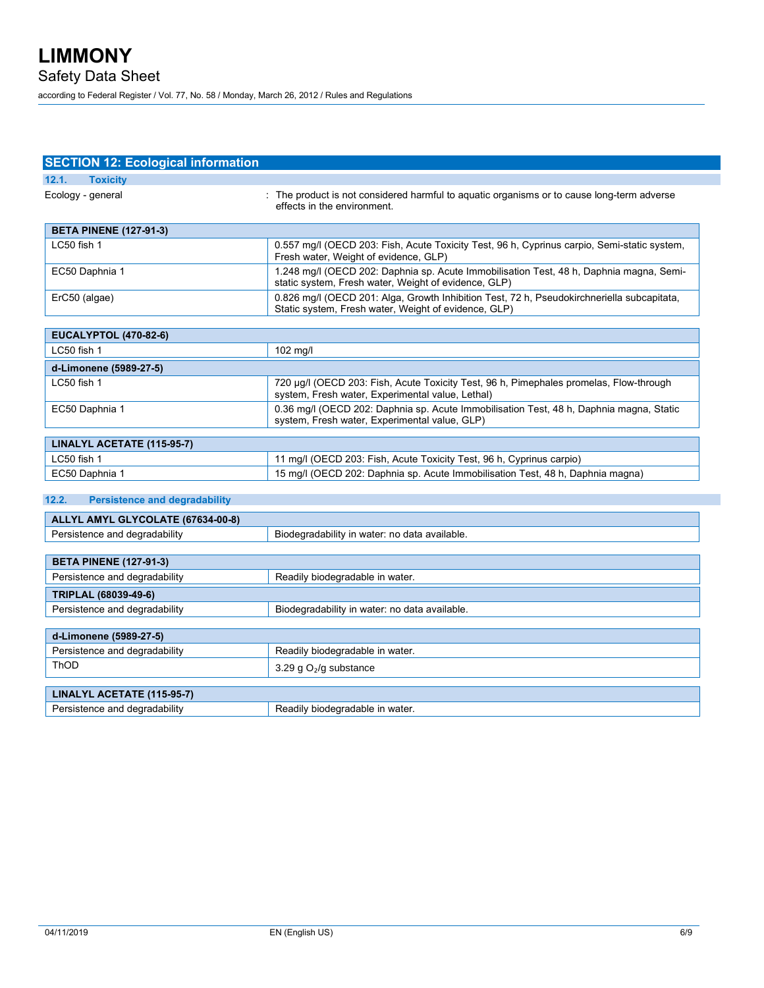# **SECTION 12: Ecological information**

| 12.1.<br><b>Toxicity</b>                                         |                                                                                                                                                    |  |
|------------------------------------------------------------------|----------------------------------------------------------------------------------------------------------------------------------------------------|--|
| Ecology - general                                                | : The product is not considered harmful to aguatic organisms or to cause long-term adverse<br>effects in the environment.                          |  |
| <b>BETA PINENE (127-91-3)</b>                                    |                                                                                                                                                    |  |
| LC50 fish 1                                                      | 0.557 mg/l (OECD 203: Fish, Acute Toxicity Test, 96 h, Cyprinus carpio, Semi-static system,<br>Fresh water, Weight of evidence, GLP)               |  |
| EC50 Daphnia 1                                                   | 1.248 mg/l (OECD 202: Daphnia sp. Acute Immobilisation Test, 48 h, Daphnia magna, Semi-<br>static system, Fresh water, Weight of evidence, GLP)    |  |
| ErC50 (algae)                                                    | 0.826 mg/l (OECD 201: Alga, Growth Inhibition Test, 72 h, Pseudokirchneriella subcapitata,<br>Static system, Fresh water, Weight of evidence, GLP) |  |
| <b>EUCALYPTOL (470-82-6)</b>                                     |                                                                                                                                                    |  |
| LC50 fish 1                                                      | 102 mg/l                                                                                                                                           |  |
| d-Limonene (5989-27-5)                                           |                                                                                                                                                    |  |
| LC50 fish 1                                                      | 720 µg/l (OECD 203: Fish, Acute Toxicity Test, 96 h, Pimephales promelas, Flow-through<br>system, Fresh water, Experimental value, Lethal)         |  |
| EC50 Daphnia 1                                                   | 0.36 mg/l (OECD 202: Daphnia sp. Acute Immobilisation Test, 48 h, Daphnia magna, Static<br>system, Fresh water, Experimental value, GLP)           |  |
| LINALYL ACETATE (115-95-7)                                       |                                                                                                                                                    |  |
| LC50 fish 1                                                      | 11 mg/l (OECD 203: Fish, Acute Toxicity Test, 96 h, Cyprinus carpio)                                                                               |  |
| EC50 Daphnia 1                                                   | 15 mg/l (OECD 202: Daphnia sp. Acute Immobilisation Test, 48 h, Daphnia magna)                                                                     |  |
|                                                                  |                                                                                                                                                    |  |
| 12.2.<br><b>Persistence and degradability</b>                    |                                                                                                                                                    |  |
| ALLYL AMYL GLYCOLATE (67634-00-8)                                |                                                                                                                                                    |  |
| Persistence and degradability                                    | Biodegradability in water: no data available.                                                                                                      |  |
|                                                                  |                                                                                                                                                    |  |
| <b>BETA PINENE (127-91-3)</b>                                    |                                                                                                                                                    |  |
| Persistence and degradability<br>Readily biodegradable in water. |                                                                                                                                                    |  |
| TRIPLAL (68039-49-6)                                             |                                                                                                                                                    |  |
| Persistence and degradability                                    | Biodegradability in water: no data available.                                                                                                      |  |
| d-Limonene (5989-27-5)                                           |                                                                                                                                                    |  |
| Persistence and degradability                                    | Readily biodegradable in water.                                                                                                                    |  |
| ThOD                                                             | 3.29 g $O2/g$ substance                                                                                                                            |  |
|                                                                  |                                                                                                                                                    |  |
| LINALYL ACETATE (115-95-7)                                       |                                                                                                                                                    |  |
| Persistence and degradability                                    | Readily biodegradable in water.                                                                                                                    |  |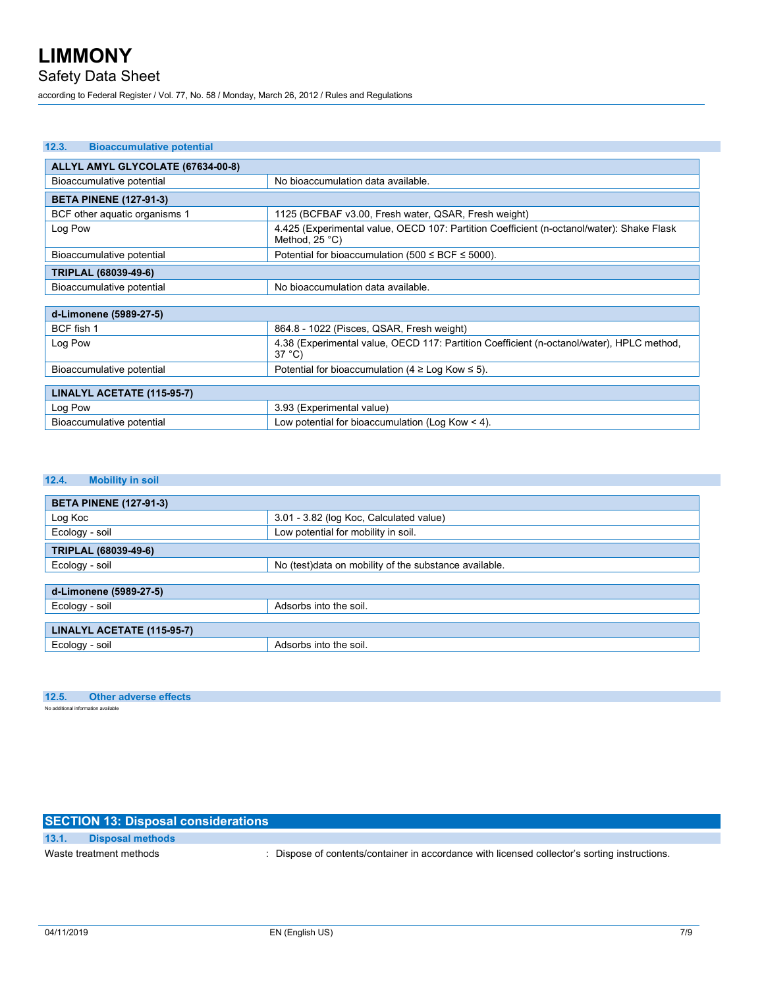# Safety Data Sheet

according to Federal Register / Vol. 77, No. 58 / Monday, March 26, 2012 / Rules and Regulations

| 12.3.<br><b>Bioaccumulative potential</b>                       |                                                                                                                      |  |  |  |
|-----------------------------------------------------------------|----------------------------------------------------------------------------------------------------------------------|--|--|--|
| ALLYL AMYL GLYCOLATE (67634-00-8)                               |                                                                                                                      |  |  |  |
| No bioaccumulation data available.<br>Bioaccumulative potential |                                                                                                                      |  |  |  |
| <b>BETA PINENE (127-91-3)</b>                                   |                                                                                                                      |  |  |  |
| BCF other aquatic organisms 1                                   | 1125 (BCFBAF v3.00, Fresh water, QSAR, Fresh weight)                                                                 |  |  |  |
| Log Pow                                                         | 4.425 (Experimental value, OECD 107: Partition Coefficient (n-octanol/water): Shake Flask<br>Method, $25^{\circ}$ C) |  |  |  |
| Bioaccumulative potential                                       | Potential for bioaccumulation (500 $\leq$ BCF $\leq$ 5000).                                                          |  |  |  |
| TRIPLAL (68039-49-6)                                            |                                                                                                                      |  |  |  |
| Bioaccumulative potential                                       | No bioaccumulation data available.                                                                                   |  |  |  |
|                                                                 |                                                                                                                      |  |  |  |
| d-Limonene (5989-27-5)                                          |                                                                                                                      |  |  |  |
| BCF fish 1                                                      | 864.8 - 1022 (Pisces, QSAR, Fresh weight)                                                                            |  |  |  |
| Log Pow                                                         | 4.38 (Experimental value, OECD 117: Partition Coefficient (n-octanol/water), HPLC method,<br>$37^{\circ}$ C)         |  |  |  |
| Bioaccumulative potential                                       | Potential for bioaccumulation (4 $\geq$ Log Kow $\leq$ 5).                                                           |  |  |  |
|                                                                 |                                                                                                                      |  |  |  |
| LINALYL ACETATE (115-95-7)                                      |                                                                                                                      |  |  |  |
| Log Pow                                                         | 3.93 (Experimental value)                                                                                            |  |  |  |
| Bioaccumulative potential                                       | Low potential for bioaccumulation (Log Kow $\leq$ 4).                                                                |  |  |  |

### **12.4. Mobility in soil**

| <b>BETA PINENE (127-91-3)</b> |                                                       |
|-------------------------------|-------------------------------------------------------|
| Log Koc                       | 3.01 - 3.82 (log Koc, Calculated value)               |
| Ecology - soil                | Low potential for mobility in soil.                   |
| TRIPLAL (68039-49-6)          |                                                       |
| Ecology - soil                | No (test)data on mobility of the substance available. |
|                               |                                                       |
| d-Limonene (5989-27-5)        |                                                       |
| Ecology - soil                | Adsorbs into the soil.                                |
|                               |                                                       |
| LINALYL ACETATE (115-95-7)    |                                                       |
| Ecology - soil                | Adsorbs into the soil.                                |

# **12.5. Other adverse effects**

No additional information available

# **SECTION 13: Disposal considerations**

# **13.1. Disposal methods**

Waste treatment methods : Dispose of contents/container in accordance with licensed collector's sorting instructions.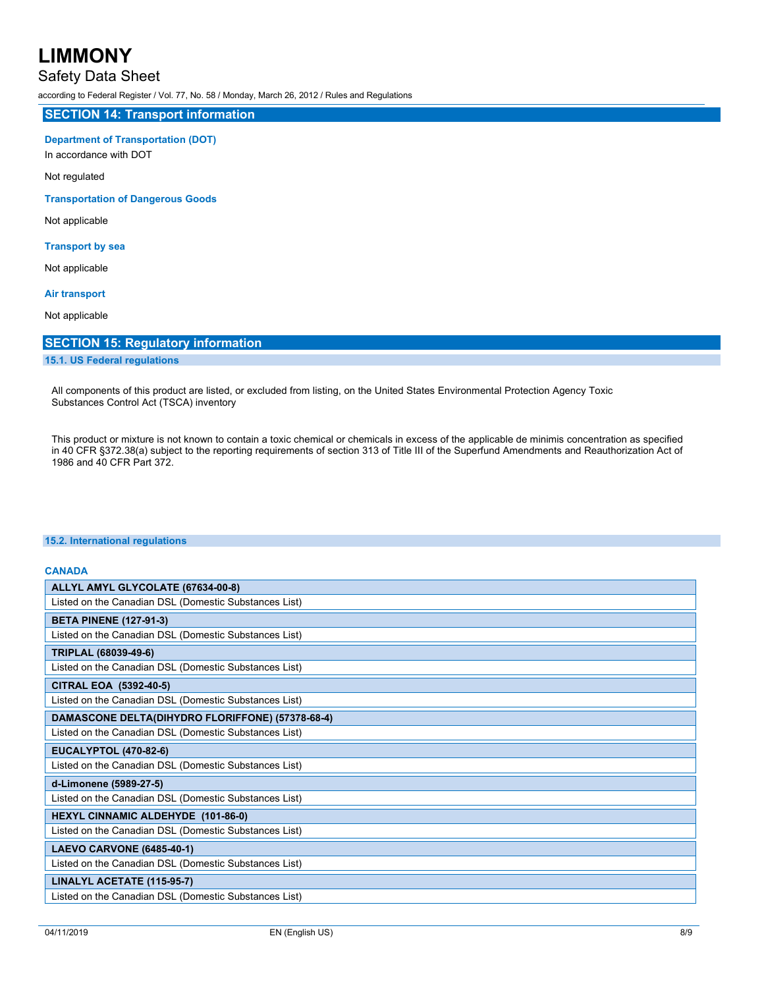# Safety Data Sheet

according to Federal Register / Vol. 77, No. 58 / Monday, March 26, 2012 / Rules and Regulations

# **SECTION 14: Transport information**

# **Department of Transportation (DOT)**

In accordance with DOT

Not regulated

## **Transportation of Dangerous Goods**

Not applicable

## **Transport by sea**

Not applicable

## **Air transport**

Not applicable

# **SECTION 15: Regulatory information**

# **15.1. US Federal regulations**

All components of this product are listed, or excluded from listing, on the United States Environmental Protection Agency Toxic Substances Control Act (TSCA) inventory

This product or mixture is not known to contain a toxic chemical or chemicals in excess of the applicable de minimis concentration as specified in 40 CFR §372.38(a) subject to the reporting requirements of section 313 of Title III of the Superfund Amendments and Reauthorization Act of 1986 and 40 CFR Part 372.

## **15.2. International regulations**

# **CANADA ALLYL AMYL GLYCOLATE (67634-00-8)** Listed on the Canadian DSL (Domestic Substances List) **BETA PINENE (127-91-3)** Listed on the Canadian DSL (Domestic Substances List) **TRIPLAL (68039-49-6)** Listed on the Canadian DSL (Domestic Substances List) **CITRAL EOA (5392-40-5)** Listed on the Canadian DSL (Domestic Substances List) **DAMASCONE DELTA(DIHYDRO FLORIFFONE) (57378-68-4)** Listed on the Canadian DSL (Domestic Substances List) **EUCALYPTOL (470-82-6)** Listed on the Canadian DSL (Domestic Substances List) **d-Limonene (5989-27-5)** Listed on the Canadian DSL (Domestic Substances List) **HEXYL CINNAMIC ALDEHYDE (101-86-0)** Listed on the Canadian DSL (Domestic Substances List) **LAEVO CARVONE (6485-40-1)** Listed on the Canadian DSL (Domestic Substances List) **LINALYL ACETATE (115-95-7)** Listed on the Canadian DSL (Domestic Substances List)